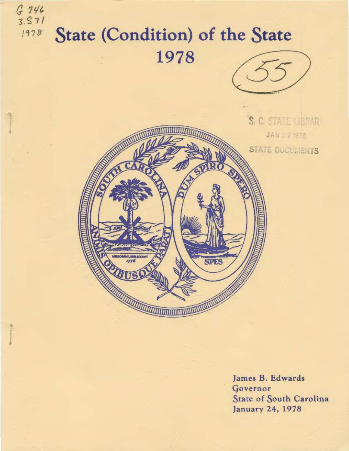

Governor State of South Carolina **January 24, 1978**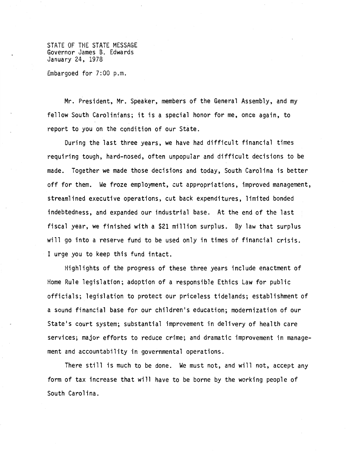STATE OF THE STATE MESSAGE Governor James B. Edwards January 24, 1978

Embargoed for 7:00 p.m.

Mr. President, Mr. Speaker, members of the General Assembly, and my fellow South Carolinians; it is a special honor for me, once again, to report to you on the condition of our State.

During the last three years, we have had difficult financial times requiring tough, hard-nosed, often unpopular and difficult decisions to be made. Together we made those decisions and today, South Carolina is better off for them. We froze employment, cut appropriations, improved management, streamlined executive operations, cut back expenditures, limited bonded indebtedness, and expanded our industrial base. At the end of the last fiscal year, we finished with a \$21 million surplus. By law that surplus will go into a reserve fund to be used only in times of financial crisis. I urge you to keep this fund intact.

Highlights of the progress of these three years include enactment of Home Rule legislation; adoption of a responsible Ethics Law for public officials; legislation to protect our priceless tidelands; establishment of a sound financial base for our children•s education; modernization of our State's court system; substantial improvement in delivery of health care services; major efforts to reduce crime; and dramatic improvement in management and accountability in governmental operations.

There still is much to be done. We must not, and will not, accept any form of tax increase that will have to be borne by the working people of South Carolina.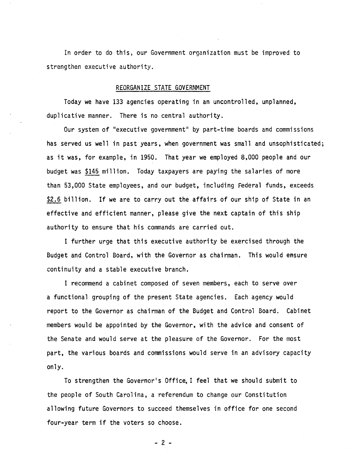In order to do this, our Government organization must be improved to strengthen executive authority.

# REORGANIZE STATE GOVERNMENT

Today we have 133 agencies operating in an uncontrolled, unplanned, duplicative manner. There is no central authority.

Our system of "executive government" by part-time boards and commissions has served us well in past years, when government was small and unsophisticated; as it was, for example, in 1950. That year we employed 8,000 people and our budget was \$145 million. Today taxpayers are paying the salaries of more than 53,000 State employees, and our budget, including Federal funds, exceeds \$2.6 billion. If we are to carry out the affairs of our ship of State in an effective and efficient manner, please give the next captain of this ship authority to ensure that his commands are carried out.

I further urge that this executive authority be exercised through the Budget and Control Board, with the Governor as chairman. This would ensure continuity and a stable executive branch.

I recommend a cabinet composed of seven members, each to serve over a functional grouping of the present State agencies. Each agency would report to the Governor as chairman of the Budget and Control Board. Cabinet members would be appointed by the Governor, with the advice and consent of the Senate and would serve at the pleasure of the Governor. For the most part, the various boards and commissions would serve in an advisory capacity only.

To strengthen the Governor's Office, I feel that we should submit to the people of South Carolina, a referendum to change our Constitution allowing future Governors to succeed themselves in office for one second four-year term if the voters so choose.

- 2 -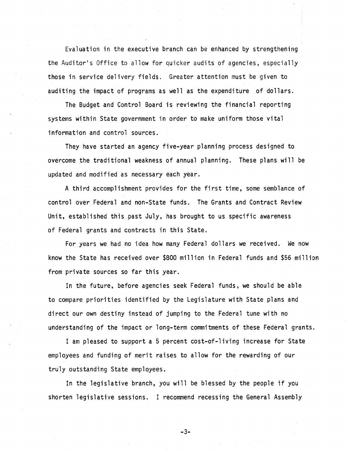Evaluation in the executive branch can be enhanced by strengthening the Auditor's Office to allow for quicker audits of agencies, especially those in service delivery fields. Greater attention must be given to auditing the impact of programs as well as the expenditure of dollars.

The Budget and Control Board is reviewing the financial reporting systems within State government in order to make uniform those vital information and control sources.

They have started an agency five-year planning process designed to overcome the traditional weakness of annual planning. These plans will be updated and modified as necessary each year.

A third accomplishment provides for the first time, some semblance of control over Federal and non-State funds. The Grants and Contract Review Unit, established this past July, has brought to us specific awareness of Federal grants and contracts in this State.

For years we had no idea how many Federal dollars we received. We now know the State has received over \$800 million in Federal funds and \$56 million from private sources so far this year.

In the future, before agencies seek Federal funds, we should be able to compare priorities identified by the Legislature with State plans and direct our own destiny instead of jumping to the Federal tune with no understanding of the impact or long-term commitments of these Federal grants.

I am pleased to support a 5 percent cost-of-living increase for State employees and funding of merit raises to allow for the rewarding of our truly outstanding State employees.

In the legislative branch, you will be blessed by the people if you shorten legislative sessions. I recommend recessing the General Assembly

-3-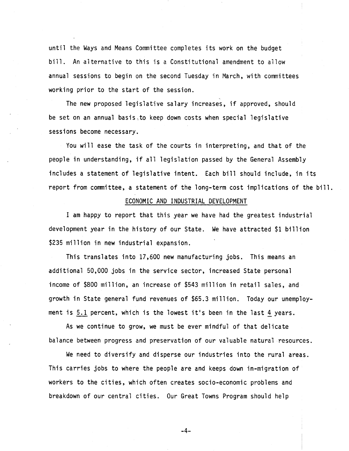until the Ways and Means Committee completes its work on the budget bill. An alternative to this is a Constitutional amendment to allow annual sessions to begin on the second Tuesday in March, with committees working prior to the start of the session.

The new proposed legislative salary increases, if approved, should be set on an annual basis,to keep down costs when special legislative sessions become necessary.

You will ease the task of the courts in interpreting, and that of the people in understanding, if all legislation passed by the General Assembly includes a statement of legislative intent. Each bill should include, in its report from committee, a statement of the long-term cost implications of the bill.

'

# ECONOMIC AND INDUSTRIAL DEVELOPMENT

I am happy to report that this year we have had the greatest industrial development year in the history of our State. We have attracted \$1 billion \$235 million in new industrial expansion.

This translates into 17,600 new manufacturing jobs. This means an additional 50,000 jobs in the service sector, increased State personal income of \$800 million, an increase of \$543 million in retail sales, and growth in State general fund revenues of \$65.3 million. Today our unemployment is  $5.1$  percent, which is the lowest it's been in the last 4 years.

As we continue to grow, we must be ever mindful of that delicate balance between progress and preservation of our valuable natural resources.

We need to diversify and disperse our industries into the rural areas. This carries jobs to where the people are and keeps down in-migration of workers to the cities, which often creates socio-economic problems and breakdown of our central cities. Our Great Towns Program should help

-4-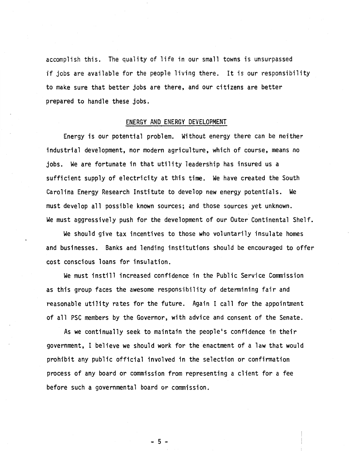accomplish this. The quality of life in our small towns is unsurpassed if jobs are available for the people living there. It is our responsibility to make sure that better jobs are there, and our citizens are better prepared to handle these jobs.

#### ENERGY AND ENERGY DEVELOPMENT

Energy is our potential problem. Without energy there can be neither industrial development, nor modern agriculture, which of course, means no jobs. We are fortunate in that utility leadership has insured us a sufficient supply of electricity at this time. We have created the South Carolina Energy Research Institute to develop new energy potentials. We must develop all possible known sources; and those sources yet unknown. We must aggressively push for the development of our Outer Continental Shelf.

We should give tax incentives to those who voluntarily insulate homes and businesses. Banks and lending institutions should be encouraged to offer cost conscious loans for insulation.

We must instill increased confidence in the Public Service Commission as this group faces the awesome responsibility of determining fair and reasonable utility rates for the future. Again I call for the appointment of all PSC members by the Governor, with advice and consent of the Senate.

As we continually seek to maintain the people's confidence in their government, I believe we should work for the enactment of a law that would prohibit any public official involved in the selection or confirmation process of any board or commission from representing a client for a fee before such a governmental board or commission.

 $-5$   $-$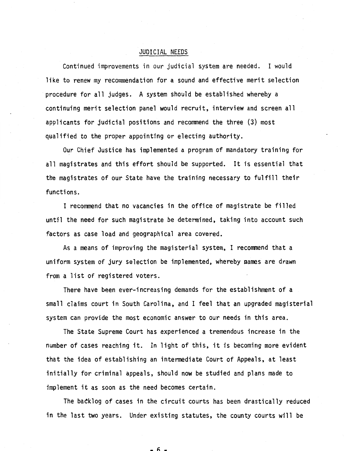## JUDICIAL NEEDS

Continued improvements in our judicial system are needed. I would like to renew my recommendation for a sound and effective merit selection procedure for all judges. A system should be established whereby a continuing merit selection panel would recruit, interview and screen all applicants for judicial positions and recommend the three (3) most qualified to the proper appointing or electing authority.

Our Chief Justice has implemented a program of mandatory training for all magistrates and this effort should be supported. It is essential that the magistrates of our State have the training necessary to fulfill their functions.

I recommend that no vacancies in the office of magistrate be filled until the need for such magistrate be determined, taking into account such factors as case load and geographical area covered.

As a means of improving the magisterial system, I recommend that a uniform system of jury selection be implemented, whereby aames are drawn from a list of registered voters.

There have been ever-increasing demands for the establishment of a small claims court in South Carolina, and I feel that an upgraded magisterial system can provide the most economic answer to our needs in this area.

The State Supreme Court has experienced a tremendous increase in the number of cases reaching it. In light of this, it is becoming more evident that the idea of establishing an intermediate Court of Appeals, at least initially for criminal appeals, should now be studied and plans made to implement it as soon as the need becomes certain.

The backlog of cases in the circuit courts has been drastically reduced in the last two years. Under existing statutes, the county courts will be

h ..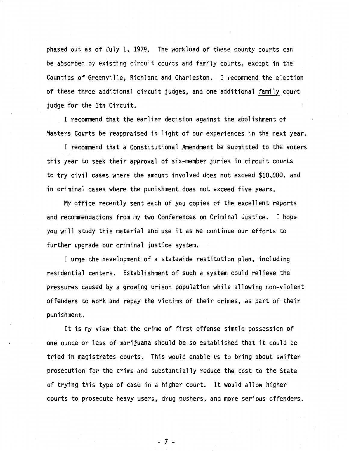phased out as of July 1, 1979. The workload of these county courts can be absorbed by existing circuit courts and family courts, except in the Counties of Greenville, Richland and Charleston. I recommend the election of these three additional circuit judges, and one additional family court judge for the 6th Circuit.

I recommend that the earlier decision against the abolishment of Masters Courts be reappraised in light of our experiences in the next year.

I recommend that a Constitutional Amendment be submitted to the voters this year to seek their approval of six-member juries in circuit courts to try civil cases where the amount involved does not exceed \$10,000, and in criminal cases where the punishment does not exceed five years.

My office recently sent each of you copies of the excellent reports and recommendations from my two Conferences on Criminal Justice. I hope you will study this material and use it as we continue our efforts to further upgrade our criminal justice system.

I urge the development of a statewide restitution plan, including residential centers. Establishment of such a system could relieve the pressures caused by a growing prison population while allowing non-violent offenders to work and repay the victims of their crimes, as part of their punishment.

It is my view that the crime of first offense simple possession of one ounce or less of marijuana should be so established that it could be tried in magistrates courts. This would enable us to bring about swifter prosecution for the crime and substantially reduce the cost to the State of trying this type of case in a higher court. It would allow higher courts to prosecute heavy users, drug pushers, and more serious offenders.

- 7 -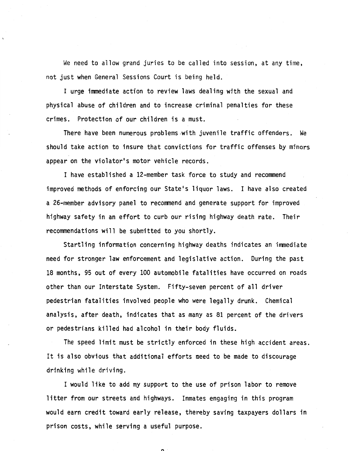We need to allow grand juries to be called into session, at any time, not just when General Sessions Court is being held.

I urge immediate action to review laws dealing with the sexual and physical abuse of children and to increase criminal penalties for these crimes. Protection of our children is a must.

There have been numerous problems-with juvenile traffic offenders. We should take action to insure that convictions for traffic offenses by minors appear on the violator's motor vehicle records.

I have established a 12-member task force to study and recommend improved methods of enforcing our State's liquor laws. I have also created a 26-member advisory panel to recommend and generate support for improved highway safety in an effort to curb our rising highway death rate. Their recommendations will be submitted to you shortly.

Startling information concerning highway deaths indicates an immediate need for stronger law enforcement and legislative action. During the past 18 months, 95 out of every 100 automobile fatalities have occurred on roads other than our Interstate System. Fifty-seven percent of all driver pedestrian fatalities involved people who were legally drunk. Chemical analysis, after death, indicates that as many as 81 percent of the drivers or pedestrians killed had alcohol in their body fluids.

The speed limit must be strictly enforced in these high accident areas. It is also obvious that additional efforts need to be made to discourage drinking while driving.

I would like to add my support to the use of prison labor to remove litter from our streets and highways. Inmates engaging in this program would earn credit toward early release, thereby saving taxpayers dollars in prison costs, while serving a useful purpose.

 $\ddot{\phantom{0}}$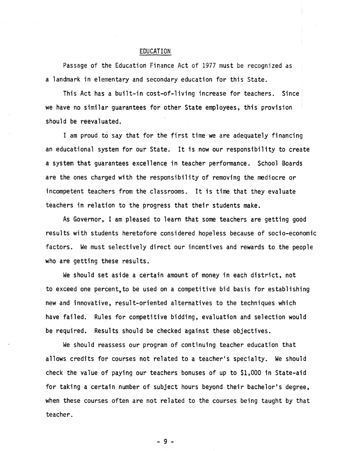### EDUCATION

Passage of the Education Finance Act of 1977 must be recognized as a landmark in elementary and secondary education for this State.

This Act has a built-in cost-of-living increase for teachers. Since· we have no similar guarantees for other State employees, this provision should be reevaluated.

I am proud to say that for the first time we are adequately financing an educational system for our State. It is now our responsibility to create a system that guarantees excellence in teacher performance. School Boards are the ones charged with the responsibility of removing the mediocre or incompetent teachers from the classrooms. It is time that they evaluate teachers in relation to the progress that their students make.

As Governor, I am pleased to learn that some teachers are getting good results with students heretofore considered hopeless because of socio-economic factors. We must selectively direct our incentives and rewards to the people who are getting these results.

We should set aside a certain amount of money in each district, not to exceed one percent, to be used on a competitive bid basis for establishing new and innovative, result-oriented alternatives to the techniques which have failed. Rules for competitive bidding, evaluation and selection would be required. Results should be checked against these objectives.

We should reassess our program of continuing teacher education that allows credits for courses not related to a teacher's specialty. We should check the value of paying our teachers bonuses of up to \$1,000 in State-aid for taking a certain number of subject hours beyond their bachelor's degree, when these courses often are not related to the courses being taught by that teacher.

- 9 -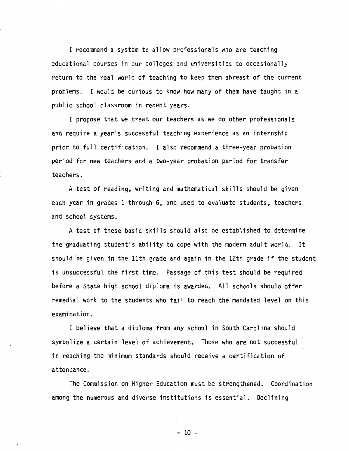I recommend a system to allow professionals who are teaching educational courses in our colleges and universities to occasionally return to the real world of teaching to keep them abreast of the current problems. I would be curious to know how many of them have taught in a public school classroom in recent years.

I propose that we treat our teachers as we do other professionals and require a year's successful teaching experience as an internship prior to full certification. I also recommend a three-year probation period for new teachers and a two-year probation period for transfer teachers.

A test of reading, writing and mathematical skills should be given each year in grades 1 through 6, and used to evaluate students, teachers and school systems.

A test of these basic skills should also be established to determine the graduating student's ability to cope with the modern adult world. It should be given in the 11th grade and again in the 12th grade if the student is unsuccessful the first time. Passage of this test should be required before a State high school diploma is awarded. All schools should offer remedial work to the students who fail to reach the mandated level on this examination.

I believe that a diploma from any school in South Carolina should symbolize a certain level of achievement. Those who are not successful in reaching the minimum standards should receive a certification of attendance.

The Commission on Higher Education must be strengthened. Coordination among the numerous and diverse institutions is essential. Declining

- 10 -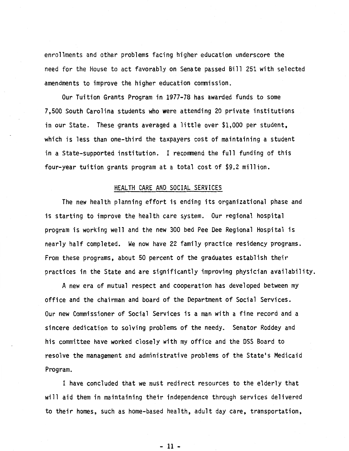enrollments and other problems facing higher education underscore the need for the House to act favorably on Senate passed Bill 251 with selected amendments to improve the higher education commission.

Our Tuition Grants Program in 1977-78 has awarded funds to some 7,500 South Carolina students who were attending 20 private institutions in our State. These grants averaged a little over \$1,000 per student, which is less than one-third the taxpayers cost of maintaining a student in a State-supported institution. I recommend the full funding of this four-year tuition grants program at a total cost of \$9.2 million.

### HEALTH CARE AND SOCIAL SERVICES

The new health planning effort is ending its organizational phase and is starting to improve the health care system. Our regional hospital program is working well and the new 300 bed Pee Dee Regional Hospital is nearly half completed. We now have 22 family practice residency programs. From these programs, about 50 percent of the graduates establish their practices in the State and are significantly improving physician availability.

A new era of mutual respect and cooperation has developed between my office and the chairman and board of the Department of Social Services. Our new Commissioner of Social Services is a man with a fine record and a sincere dedication to solving problems of the needy. Senator Roddey and his committee have worked closely with my office and the DSS Board to resolve the management and administrative problems of the State's Medicaid Program.

I have concluded that we must redirect resources to the elderly that will aid them in maintaining their independence through services delivered to their homes, such as home-based health, adult day care, transportation,

- 11 -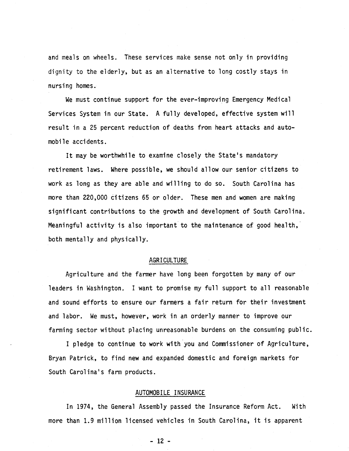and meals on wheels. These services make sense not only in providing dignity to the elderly, but as an alternative to long costly stays in nursing homes.

We must continue support for the ever-improving Emergency Medical Services System in our State. A fully developed, effective system will result in a 25 percent reduction of deaths from heart attacks and automobile accidents.

It may be worthwhile to examine closely the State's mandatory retirement laws. Where possible, we should allow our senior citizens to work as long as they are able and willing to do so. South Carolina has more than 220,000 citizens 65 or older. These men and women are making significant contributions to the growth and development of South Carolina. Meaningful activity is also important to the maintenance of good health, both mentally and physically.

## AGRICULTURE

Agriculture and the farmer have long been forgotten by many of our leaders in Washington. I want to promise my full support to all reasonable and sound efforts to ensure our farmers a fair return for their investment and labor. We must, however, work in an orderly manner to improve our farming sector without placing unreasonable burdens on the consuming public.

I pledge to continue to work with you and Commissioner of Agriculture, Bryan Patrick, to find new and expanded domestic and foreign markets for South Carolina's farm products.

### AUTOMOBILE INSURANCE

In 1974, the General Assembly passed the Insurance Reform Act. With more than 1.9 million licensed vehicles in South Carolina, it is apparent

- 12 -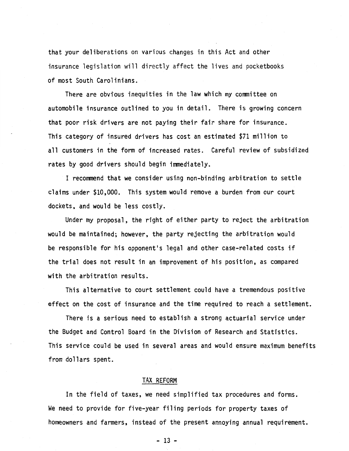that your deliberations on various changes in this Act and other insurance legislation will directly affect the lives and pocketbooks of most South Carolinians.

There are obvious inequities in the law which my committee on automobile insurance outlined to you in detail. There is growing concern that poor risk drivers are not paying their fair share for insurance. This category of insured drivers has cost an estimated \$71 million to all customers in the form of increased rates. Careful review of subsidized rates by good drivers should begin immediately.

I recommend that we consider using non-binding arbitration to settle claims under \$10,000. This system would remove a burden from our court dockets, and would be less costly.

Under my proposal, the right of either party to reject the arbitration would be maintained; however, the party rejecting the arbitration would be responsible for his opponent's legal and other case-related costs if the trial does not result in an improvement of his position, as compared with the arbitration results.

This alternative to court settlement could have a tremendous positive effect on the cost of insurance and the time required to reach a settlement.

There is a serious need to establish a strong actuarial service under the Budget and Control Board in the Division of Research and Statistics. This service could be used in several areas and would ensure maximum benefits from dollars spent.

#### TAX REFORM

In the field of taxes, we need simplified tax procedures and forms. We need to provide for five-year filing periods for property taxes of homeowners and farmers, instead of the present annoying annual requirement.

- 13 -